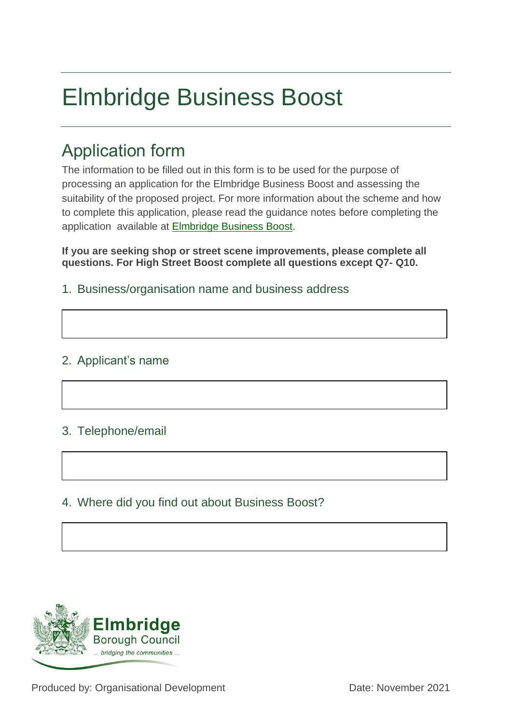# Elmbridge Business Boost

# Application form

The information to be filled out in this form is to be used for the purpose of processing an application for the Elmbridge Business Boost and assessing the suitability of the proposed project. For more information about the scheme and how to complete this application, please read the guidance notes before completing the application available at [Elmbridge Business Boost.](https://www.elmbridge.gov.uk/business/support-for-businesses/business-boost-grants/)

**If you are seeking shop or street scene improvements, please complete all questions. For High Street Boost complete all questions except Q7- Q10.**

1. Business/organisation name and business address

#### 2. Applicant's name

#### 3. Telephone/email

# 4. Where did you find out about Business Boost?

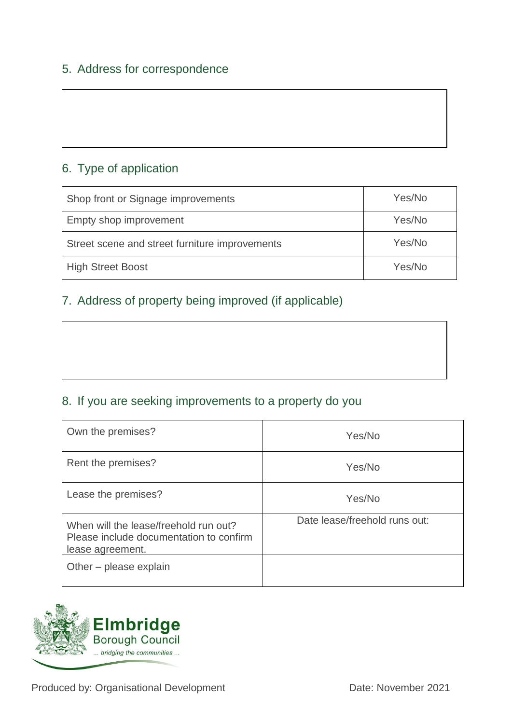#### 5. Address for correspondence

# 6. Type of application

| Shop front or Signage improvements             | Yes/No |
|------------------------------------------------|--------|
| Empty shop improvement                         | Yes/No |
| Street scene and street furniture improvements | Yes/No |
| <b>High Street Boost</b>                       | Yes/No |

# 7. Address of property being improved (if applicable)

# 8. If you are seeking improvements to a property do you

| Own the premises?                                                                                    | Yes/No                        |
|------------------------------------------------------------------------------------------------------|-------------------------------|
| Rent the premises?                                                                                   | Yes/No                        |
| Lease the premises?                                                                                  | Yes/No                        |
| When will the lease/freehold run out?<br>Please include documentation to confirm<br>lease agreement. | Date lease/freehold runs out: |
| Other – please explain                                                                               |                               |

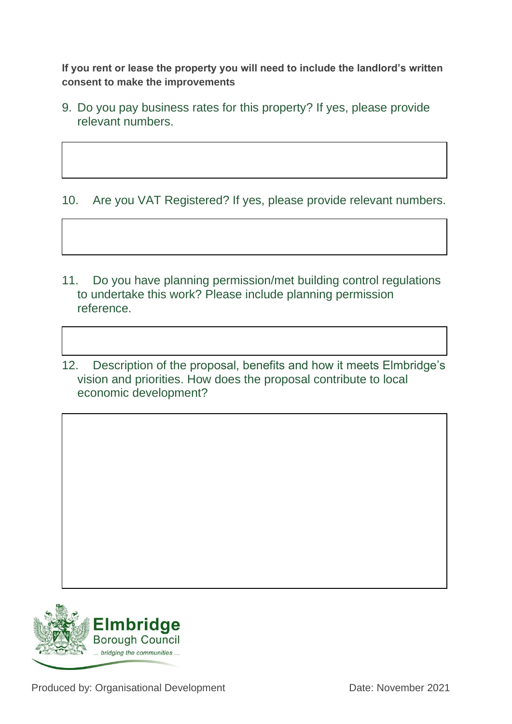**If you rent or lease the property you will need to include the landlord's written consent to make the improvements**

9. Do you pay business rates for this property? If yes, please provide relevant numbers.

10. Are you VAT Registered? If yes, please provide relevant numbers.

- 11. Do you have planning permission/met building control regulations to undertake this work? Please include planning permission reference.
- 12. Description of the proposal, benefits and how it meets Elmbridge's vision and priorities. How does the proposal contribute to local economic development?

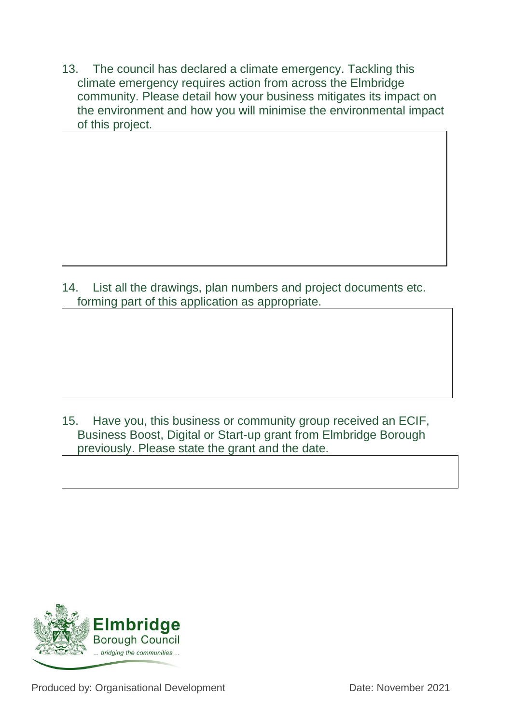13. The council has declared a climate emergency. Tackling this climate emergency requires action from across the Elmbridge community. Please detail how your business mitigates its impact on the environment and how you will minimise the environmental impact of this project.

14. List all the drawings, plan numbers and project documents etc. forming part of this application as appropriate.

15. Have you, this business or community group received an ECIF, Business Boost, Digital or Start-up grant from Elmbridge Borough previously. Please state the grant and the date.



Produced by: Organisational Development Date: November 2021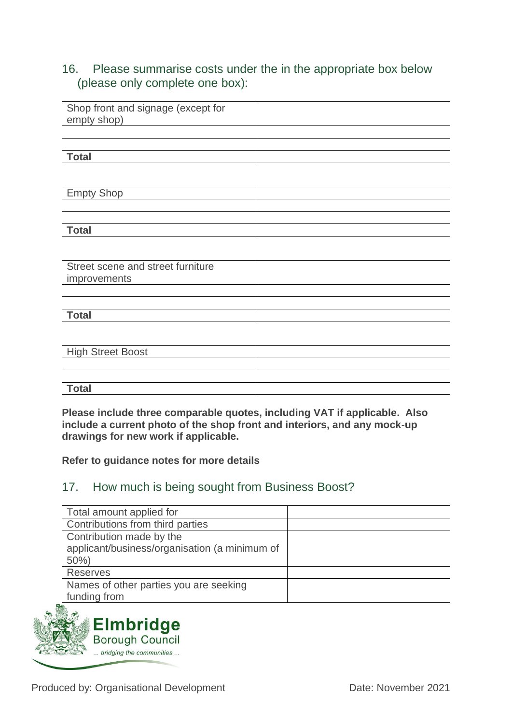#### 16. Please summarise costs under the in the appropriate box below (please only complete one box):

| Shop front and signage (except for<br>empty shop) |  |
|---------------------------------------------------|--|
|                                                   |  |
|                                                   |  |
| <b>Total</b>                                      |  |

| <b>Empty Shop</b> |  |
|-------------------|--|
|                   |  |
|                   |  |
| <b>Total</b>      |  |

| Street scene and street furniture<br>improvements |  |
|---------------------------------------------------|--|
|                                                   |  |
|                                                   |  |
| <b>Total</b>                                      |  |

| <b>High Street Boost</b> |  |
|--------------------------|--|
|                          |  |
|                          |  |
| <b>Total</b>             |  |

**Please include three comparable quotes, including VAT if applicable. Also include a current photo of the shop front and interiors, and any mock-up drawings for new work if applicable.** 

**Refer to guidance notes for more details**

#### 17. How much is being sought from Business Boost?

| Total amount applied for                      |  |
|-----------------------------------------------|--|
| Contributions from third parties              |  |
| Contribution made by the                      |  |
| applicant/business/organisation (a minimum of |  |
| 50%                                           |  |
| <b>Reserves</b>                               |  |
| Names of other parties you are seeking        |  |
| funding from                                  |  |
|                                               |  |



Produced by: Organisational Development Date: November 2021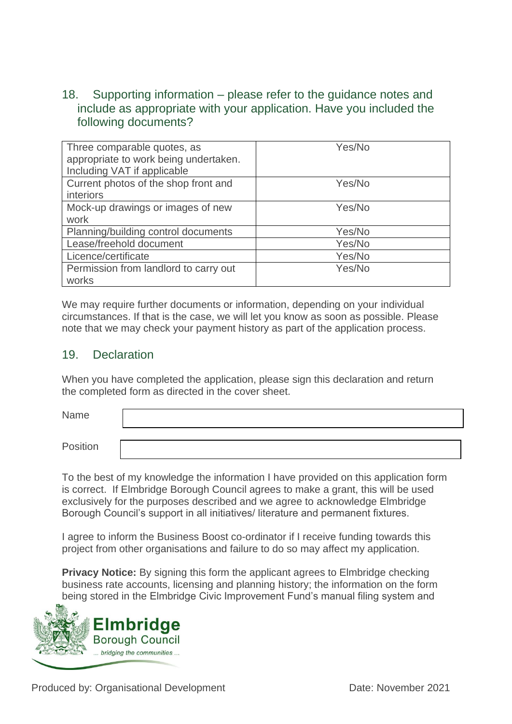#### 18. Supporting information – please refer to the guidance notes and include as appropriate with your application. Have you included the following documents?

| Three comparable quotes, as<br>appropriate to work being undertaken.<br>Including VAT if applicable | Yes/No |
|-----------------------------------------------------------------------------------------------------|--------|
| Current photos of the shop front and<br><i>interiors</i>                                            | Yes/No |
| Mock-up drawings or images of new<br>work                                                           | Yes/No |
| Planning/building control documents                                                                 | Yes/No |
| Lease/freehold document                                                                             | Yes/No |
| Licence/certificate                                                                                 | Yes/No |
| Permission from landlord to carry out<br>works                                                      | Yes/No |

We may require further documents or information, depending on your individual circumstances. If that is the case, we will let you know as soon as possible. Please note that we may check your payment history as part of the application process.

#### 19. Declaration

When you have completed the application, please sign this declaration and return the completed form as directed in the cover sheet.

Name

Position

To the best of my knowledge the information I have provided on this application form is correct. If Elmbridge Borough Council agrees to make a grant, this will be used exclusively for the purposes described and we agree to acknowledge Elmbridge Borough Council's support in all initiatives/ literature and permanent fixtures.

I agree to inform the Business Boost co-ordinator if I receive funding towards this project from other organisations and failure to do so may affect my application.

**Privacy Notice:** By signing this form the applicant agrees to Elmbridge checking business rate accounts, licensing and planning history; the information on the form being stored in the Elmbridge Civic Improvement Fund's manual filing system and